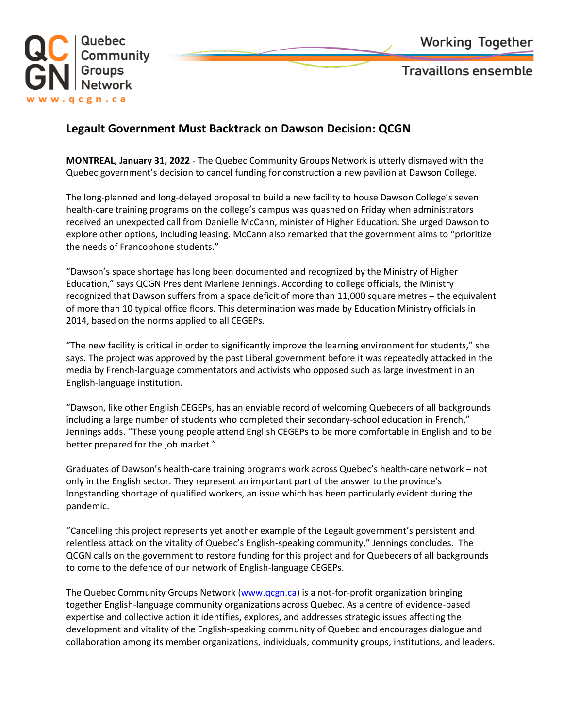



**Travaillons ensemble** 

## **Legault Government Must Backtrack on Dawson Decision: QCGN**

**MONTREAL, January 31, 2022** - The Quebec Community Groups Network is utterly dismayed with the Quebec government's decision to cancel funding for construction a new pavilion at Dawson College.

The long-planned and long-delayed proposal to build a new facility to house Dawson College's seven health-care training programs on the college's campus was quashed on Friday when administrators received an unexpected call from Danielle McCann, minister of Higher Education. She urged Dawson to explore other options, including leasing. McCann also remarked that the government aims to "prioritize the needs of Francophone students."

"Dawson's space shortage has long been documented and recognized by the Ministry of Higher Education," says QCGN President Marlene Jennings. According to college officials, the Ministry recognized that Dawson suffers from a space deficit of more than 11,000 square metres – the equivalent of more than 10 typical office floors. This determination was made by Education Ministry officials in 2014, based on the norms applied to all CEGEPs.

"The new facility is critical in order to significantly improve the learning environment for students," she says. The project was approved by the past Liberal government before it was repeatedly attacked in the media by French-language commentators and activists who opposed such as large investment in an English-language institution.

"Dawson, like other English CEGEPs, has an enviable record of welcoming Quebecers of all backgrounds including a large number of students who completed their secondary-school education in French," Jennings adds. "These young people attend English CEGEPs to be more comfortable in English and to be better prepared for the job market."

Graduates of Dawson's health-care training programs work across Quebec's health-care network – not only in the English sector. They represent an important part of the answer to the province's longstanding shortage of qualified workers, an issue which has been particularly evident during the pandemic.

"Cancelling this project represents yet another example of the Legault government's persistent and relentless attack on the vitality of Quebec's English-speaking community," Jennings concludes. The QCGN calls on the government to restore funding for this project and for Quebecers of all backgrounds to come to the defence of our network of English-language CEGEPs.

The Quebec Community Groups Network (www.qcgn.ca) is a not-for-profit organization bringing together English-language community organizations across Quebec. As a centre of evidence-based expertise and collective action it identifies, explores, and addresses strategic issues affecting the development and vitality of the English-speaking community of Quebec and encourages dialogue and collaboration among its member organizations, individuals, community groups, institutions, and leaders.